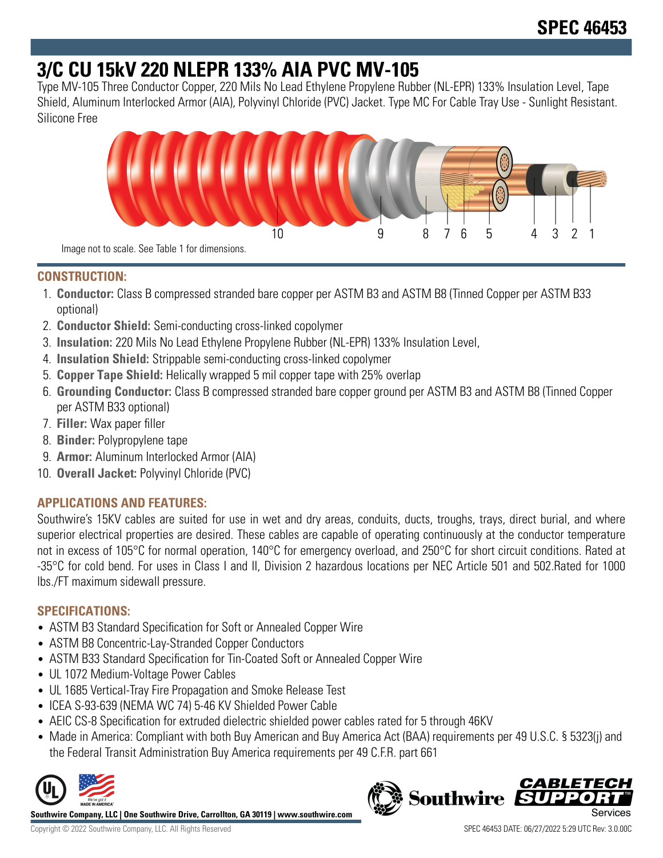# **3/C CU 15kV 220 NLEPR 133% AIA PVC MV-105**

Type MV-105 Three Conductor Copper, 220 Mils No Lead Ethylene Propylene Rubber (NL-EPR) 133% Insulation Level, Tape Shield, Aluminum Interlocked Armor (AIA), Polyvinyl Chloride (PVC) Jacket. Type MC For Cable Tray Use - Sunlight Resistant. Silicone Free



**CONSTRUCTION:**

- 1. **Conductor:** Class B compressed stranded bare copper per ASTM B3 and ASTM B8 (Tinned Copper per ASTM B33 optional)
- 2. **Conductor Shield:** Semi-conducting cross-linked copolymer
- 3. **Insulation:** 220 Mils No Lead Ethylene Propylene Rubber (NL-EPR) 133% Insulation Level,
- 4. **Insulation Shield:** Strippable semi-conducting cross-linked copolymer
- 5. **Copper Tape Shield:** Helically wrapped 5 mil copper tape with 25% overlap
- 6. **Grounding Conductor:** Class B compressed stranded bare copper ground per ASTM B3 and ASTM B8 (Tinned Copper per ASTM B33 optional)
- 7. **Filler:** Wax paper filler
- 8. **Binder:** Polypropylene tape
- 9. **Armor:** Aluminum Interlocked Armor (AIA)
- 10. **Overall Jacket:** Polyvinyl Chloride (PVC)

## **APPLICATIONS AND FEATURES:**

Southwire's 15KV cables are suited for use in wet and dry areas, conduits, ducts, troughs, trays, direct burial, and where superior electrical properties are desired. These cables are capable of operating continuously at the conductor temperature not in excess of 105°C for normal operation, 140°C for emergency overload, and 250°C for short circuit conditions. Rated at -35°C for cold bend. For uses in Class I and II, Division 2 hazardous locations per NEC Article 501 and 502.Rated for 1000 lbs./FT maximum sidewall pressure.

## **SPECIFICATIONS:**

- ASTM B3 Standard Specification for Soft or Annealed Copper Wire
- ASTM B8 Concentric-Lay-Stranded Copper Conductors
- ASTM B33 Standard Specification for Tin-Coated Soft or Annealed Copper Wire
- UL 1072 Medium-Voltage Power Cables
- UL 1685 Vertical-Tray Fire Propagation and Smoke Release Test
- ICEA S-93-639 (NEMA WC 74) 5-46 KV Shielded Power Cable
- AEIC CS-8 Specification for extruded dielectric shielded power cables rated for 5 through 46KV
- Made in America: Compliant with both Buy American and Buy America Act (BAA) requirements per 49 U.S.C. § 5323(j) and the Federal Transit Administration Buy America requirements per 49 C.F.R. part 661



**Southwire Company, LLC | One Southwire Drive, Carrollton, GA 30119 | www.southwire.com**